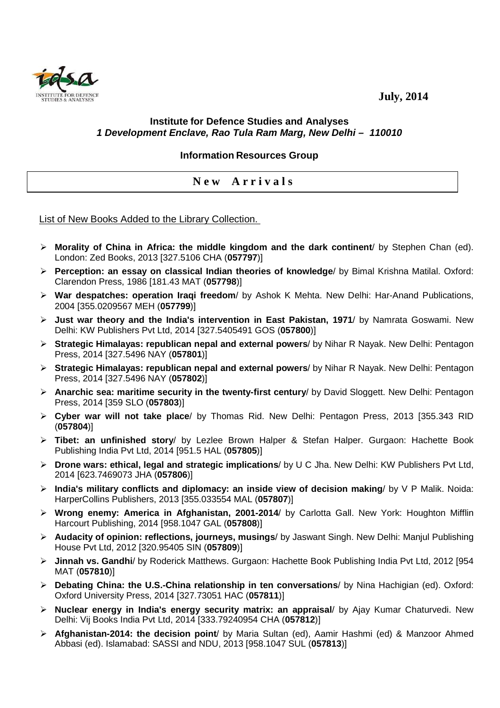## **July, 2014**

## **Institute for Defence Studies and Analyses 1 Development Enclave, Rao Tula Ram Marg, New Delhi – 110010**

## **Information Resources Group**

## **N e w A r r i v a l s**

List of New Books Added to the Library Collection.

- **Morality of China in Africa: the middle kingdom and the dark continent**/ by Stephen Chan (ed). London: Zed Books, 2013 [327.5106 CHA (**057797**)]
- **Perception: an essay on classical Indian theories of knowledge**/ by Bimal Krishna Matilal. Oxford: Clarendon Press, 1986 [181.43 MAT (**057798**)]
- **War despatches: operation Iraqi freedom**/ by Ashok K Mehta. New Delhi: Har-Anand Publications, 2004 [355.0209567 MEH (**057799**)]
- **Just war theory and the India's intervention in East Pakistan, 1971**/ by Namrata Goswami. New Delhi: KW Publishers Pvt Ltd, 2014 [327.5405491 GOS (**057800**)]
- **Strategic Himalayas: republican nepal and external powers**/ by Nihar R Nayak. New Delhi: Pentagon Press, 2014 [327.5496 NAY (**057801**)]
- **Strategic Himalayas: republican nepal and external powers**/ by Nihar R Nayak. New Delhi: Pentagon Press, 2014 [327.5496 NAY (**057802**)]
- **Anarchic sea: maritime security in the twenty-first century**/ by David Sloggett. New Delhi: Pentagon Press, 2014 [359 SLO (**057803**)]
- **Cyber war will not take place**/ by Thomas Rid. New Delhi: Pentagon Press, 2013 [355.343 RID (**057804**)]
- **Tibet: an unfinished story**/ by Lezlee Brown Halper & Stefan Halper. Gurgaon: Hachette Book Publishing India Pvt Ltd, 2014 [951.5 HAL (**057805**)]
- **Drone wars: ethical, legal and strategic implications**/ by U C Jha. New Delhi: KW Publishers Pvt Ltd, 2014 [623.7469073 JHA (**057806**)]
- **India's military conflicts and diplomacy: an inside view of decision making**/ by V P Malik. Noida: HarperCollins Publishers, 2013 [355.033554 MAL (**057807**)]
- **Wrong enemy: America in Afghanistan, 2001-2014**/ by Carlotta Gall. New York: Houghton Mifflin Harcourt Publishing, 2014 [958.1047 GAL (**057808**)]
- **Audacity of opinion: reflections, journeys, musings**/ by Jaswant Singh. New Delhi: Manjul Publishing House Pvt Ltd, 2012 [320.95405 SIN (**057809**)]
- **Jinnah vs. Gandhi**/ by Roderick Matthews. Gurgaon: Hachette Book Publishing India Pvt Ltd, 2012 [954 MAT (**057810**)]
- **Debating China: the U.S.-China relationship in ten conversations**/ by Nina Hachigian (ed). Oxford: Oxford University Press, 2014 [327.73051 HAC (**057811**)]
- **Nuclear energy in India's energy security matrix: an appraisal**/ by Ajay Kumar Chaturvedi. New Delhi: Vij Books India Pvt Ltd, 2014 [333.79240954 CHA (**057812**)]
- **Afghanistan-2014: the decision point**/ by Maria Sultan (ed), Aamir Hashmi (ed) & Manzoor Ahmed Abbasi (ed). Islamabad: SASSI and NDU, 2013 [958.1047 SUL (**057813**)]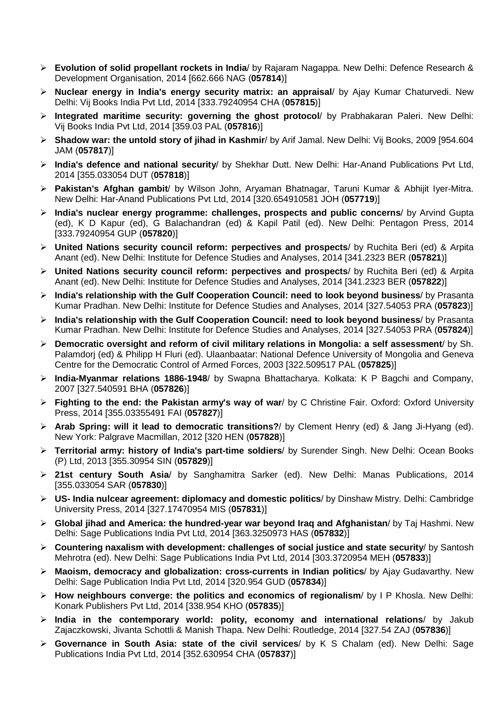- **Evolution of solid propellant rockets in India**/ by Rajaram Nagappa. New Delhi: Defence Research & Development Organisation, 2014 [662.666 NAG (**057814**)]
- **Nuclear energy in India's energy security matrix: an appraisal**/ by Ajay Kumar Chaturvedi. New Delhi: Vij Books India Pvt Ltd, 2014 [333.79240954 CHA (**057815**)]
- **Integrated maritime security: governing the ghost protocol**/ by Prabhakaran Paleri. New Delhi: Vij Books India Pvt Ltd, 2014 [359.03 PAL (**057816**)]
- **Shadow war: the untold story of jihad in Kashmir**/ by Arif Jamal. New Delhi: Vij Books, 2009 [954.604 JAM (**057817**)]
- **India's defence and national security**/ by Shekhar Dutt. New Delhi: Har-Anand Publications Pvt Ltd, 2014 [355.033054 DUT (**057818**)]
- **Pakistan's Afghan gambit**/ by Wilson John, Aryaman Bhatnagar, Taruni Kumar & Abhijit Iyer-Mitra. New Delhi: Har-Anand Publications Pvt Ltd, 2014 [320.654910581 JOH (**057719**)]
- **India's nuclear energy programme: challenges, prospects and public concerns**/ by Arvind Gupta (ed), K D Kapur (ed), G Balachandran (ed) & Kapil Patil (ed). New Delhi: Pentagon Press, 2014 [333.79240954 GUP (**057820**)]
- **United Nations security council reform: perpectives and prospects**/ by Ruchita Beri (ed) & Arpita Anant (ed). New Delhi: Institute for Defence Studies and Analyses, 2014 [341.2323 BER (**057821**)]
- **United Nations security council reform: perpectives and prospects**/ by Ruchita Beri (ed) & Arpita Anant (ed). New Delhi: Institute for Defence Studies and Analyses, 2014 [341.2323 BER (**057822**)]
- **India's relationship with the Gulf Cooperation Council: need to look beyond business**/ by Prasanta Kumar Pradhan. New Delhi: Institute for Defence Studies and Analyses, 2014 [327.54053 PRA (**057823**)]
- **India's relationship with the Gulf Cooperation Council: need to look beyond business**/ by Prasanta Kumar Pradhan. New Delhi: Institute for Defence Studies and Analyses, 2014 [327.54053 PRA (**057824**)]
- **Democratic oversight and reform of civil military relations in Mongolia: a self assessment**/ by Sh. Palamdorj (ed) & Philipp H Fluri (ed). Ulaanbaatar: National Defence University of Mongolia and Geneva Centre for the Democratic Control of Armed Forces, 2003 [322.509517 PAL (**057825**)]
- **India-Myanmar relations 1886-1948**/ by Swapna Bhattacharya. Kolkata: K P Bagchi and Company, 2007 [327.540591 BHA (**057826**)]
- **Fighting to the end: the Pakistan army's way of war**/ by C Christine Fair. Oxford: Oxford University Press, 2014 [355.03355491 FAI (**057827**)]
- **Arab Spring: will it lead to democratic transitions?**/ by Clement Henry (ed) & Jang Ji-Hyang (ed). New York: Palgrave Macmillan, 2012 [320 HEN (**057828**)]
- **Territorial army: history of India's part-time soldiers**/ by Surender Singh. New Delhi: Ocean Books (P) Ltd, 2013 [355.30954 SIN (**057829**)]
- **21st century South Asia**/ by Sanghamitra Sarker (ed). New Delhi: Manas Publications, 2014 [355.033054 SAR (**057830**)]
- **US- India nulcear agreement: diplomacy and domestic politics**/ by Dinshaw Mistry. Delhi: Cambridge University Press, 2014 [327.17470954 MIS (**057831**)]
- **Global jihad and America: the hundred-year war beyond Iraq and Afghanistan**/ by Taj Hashmi. New Delhi: Sage Publications India Pvt Ltd, 2014 [363.3250973 HAS (**057832**)]
- **Countering naxalism with development: challenges of social justice and state security**/ by Santosh Mehrotra (ed). New Delhi: Sage Publications India Pvt Ltd, 2014 [303.3720954 MEH (**057833**)]
- **Maoism, democracy and globalization: cross-currents in Indian politics**/ by Ajay Gudavarthy. New Delhi: Sage Publication India Pvt Ltd, 2014 [320.954 GUD (**057834**)]
- **How neighbours converge: the politics and economics of regionalism**/ by I P Khosla. New Delhi: Konark Publishers Pvt Ltd, 2014 [338.954 KHO (**057835**)]
- **India in the contemporary world: polity, economy and international relations**/ by Jakub Zajaczkowski, Jivanta Schottli & Manish Thapa. New Delhi: Routledge, 2014 [327.54 ZAJ (**057836**)]
- **Governance in South Asia: state of the civil services**/ by K S Chalam (ed). New Delhi: Sage Publications India Pvt Ltd, 2014 [352.630954 CHA (**057837**)]